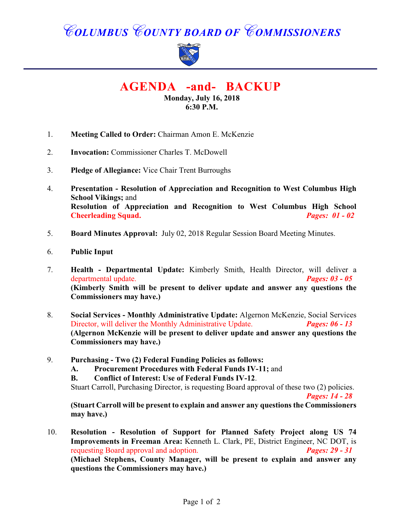# *COLUMBUS COUNTY BOARD OF COMMISSIONERS*



**AGENDA -and- BACKUP**

**Monday, July 16, 2018 6:30 P.M.**

- 1. **Meeting Called to Order:** Chairman Amon E. McKenzie
- 2. **Invocation:** Commissioner Charles T. McDowell
- 3. **Pledge of Allegiance:** Vice Chair Trent Burroughs
- 4. **Presentation Resolution of Appreciation and Recognition to West Columbus High School Vikings;** and **Resolution of Appreciation and Recognition to West Columbus High School Cheerleading Squad.** *Pages: 01 - 02*
- 5. **Board Minutes Approval:** July 02, 2018 Regular Session Board Meeting Minutes.
- 6. **Public Input**
- 7. **Health Departmental Update:** Kimberly Smith, Health Director, will deliver a departmental update. *Pages: 03 - 05*  **(Kimberly Smith will be present to deliver update and answer any questions the Commissioners may have.)**
- 8. **Social Services Monthly Administrative Update:** Algernon McKenzie, Social Services Director, will deliver the Monthly Administrative Update. *Pages: 06 - 13* **(Algernon McKenzie will be present to deliver update and answer any questions the Commissioners may have.)**
- 9. **Purchasing Two (2) Federal Funding Policies as follows:**
	- **A. Procurement Procedures with Federal Funds IV-11;** and
	- **B. Conflict of Interest: Use of Federal Funds IV-12**.

Stuart Carroll, Purchasing Director, is requesting Board approval of these two (2) policies. *Pages: 14 - 28*

**(Stuart Carroll will be present to explain and answer any questions the Commissioners may have.)**

10. **Resolution - Resolution of Support for Planned Safety Project along US 74 Improvements in Freeman Area:** Kenneth L. Clark, PE, District Engineer, NC DOT, is requesting Board approval and adoption. *Pages: 29 - 31* **(Michael Stephens, County Manager, will be present to explain and answer any questions the Commissioners may have.)**